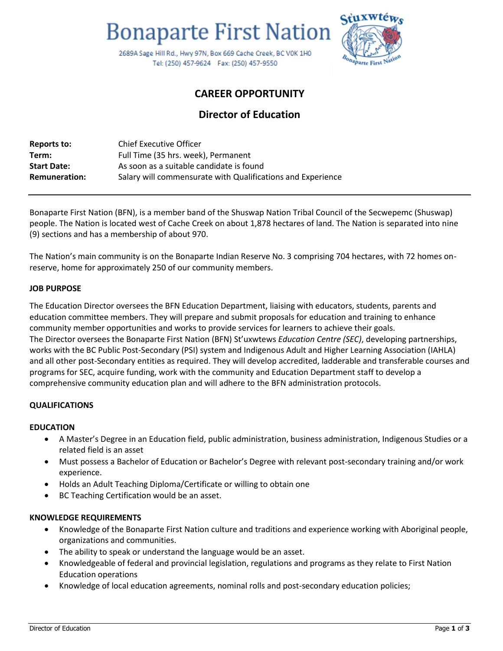**Bonaparte First Nation** 

2689A Sage Hill Rd., Hwy 97N, Box 669 Cache Creek, BC VOK 1H0 Tel: (250) 457-9624 Fax: (250) 457-9550



## **CAREER OPPORTUNITY**

# **Director of Education**

| Reports to:          | Chief Executive Officer                                     |
|----------------------|-------------------------------------------------------------|
| Term:                | Full Time (35 hrs. week), Permanent                         |
| <b>Start Date:</b>   | As soon as a suitable candidate is found                    |
| <b>Remuneration:</b> | Salary will commensurate with Qualifications and Experience |

Bonaparte First Nation (BFN), is a member band of the Shuswap Nation Tribal Council of the Secwepemc (Shuswap) people. The Nation is located west of Cache Creek on about 1,878 hectares of land. The Nation is separated into nine (9) sections and has a membership of about 970.

The Nation's main community is on the Bonaparte Indian Reserve No. 3 comprising 704 hectares, with 72 homes onreserve, home for approximately 250 of our community members.

## **JOB PURPOSE**

The Education Director oversees the BFN Education Department, liaising with educators, students, parents and education committee members. They will prepare and submit proposals for education and training to enhance community member opportunities and works to provide services for learners to achieve their goals. The Director oversees the Bonaparte First Nation (BFN) St'uxwtews *Education Centre (SEC)*, developing partnerships, works with the BC Public Post-Secondary (PSI) system and Indigenous Adult and Higher Learning Association (IAHLA) and all other post-Secondary entities as required. They will develop accredited, ladderable and transferable courses and programs for SEC, acquire funding, work with the community and Education Department staff to develop a comprehensive community education plan and will adhere to the BFN administration protocols.

## **QUALIFICATIONS**

#### **EDUCATION**

- A Master's Degree in an Education field, public administration, business administration, Indigenous Studies or a related field is an asset
- Must possess a Bachelor of Education or Bachelor's Degree with relevant post-secondary training and/or work experience.
- Holds an Adult Teaching Diploma/Certificate or willing to obtain one
- BC Teaching Certification would be an asset.

#### **KNOWLEDGE REQUIREMENTS**

- Knowledge of the Bonaparte First Nation culture and traditions and experience working with Aboriginal people, organizations and communities.
- The ability to speak or understand the language would be an asset.
- Knowledgeable of federal and provincial legislation, regulations and programs as they relate to First Nation Education operations
- Knowledge of local education agreements, nominal rolls and post-secondary education policies;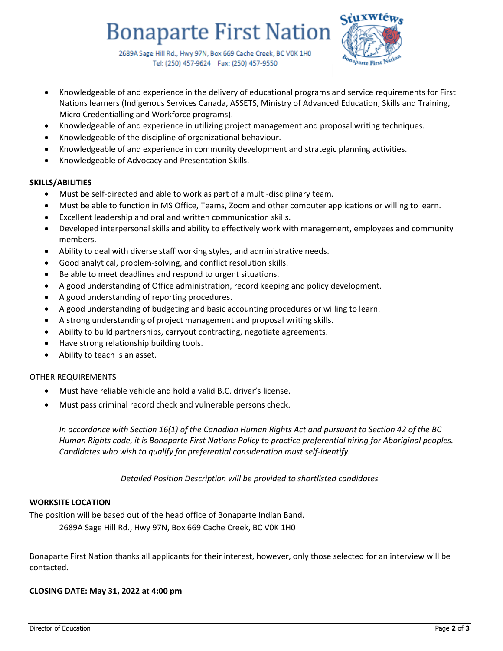2689A Sage Hill Rd., Hwy 97N, Box 669 Cache Creek, BC VOK 1H0 Tel: (250) 457-9624 Fax: (250) 457-9550

**Bonaparte First Nation** 



- Knowledgeable of and experience in the delivery of educational programs and service requirements for First Nations learners (Indigenous Services Canada, ASSETS, Ministry of Advanced Education, Skills and Training, Micro Credentialling and Workforce programs).
- Knowledgeable of and experience in utilizing project management and proposal writing techniques.
- Knowledgeable of the discipline of organizational behaviour.
- Knowledgeable of and experience in community development and strategic planning activities.
- Knowledgeable of Advocacy and Presentation Skills.

#### **SKILLS/ABILITIES**

- Must be self-directed and able to work as part of a multi-disciplinary team.
- Must be able to function in MS Office, Teams, Zoom and other computer applications or willing to learn.
- Excellent leadership and oral and written communication skills.
- Developed interpersonal skills and ability to effectively work with management, employees and community members.
- Ability to deal with diverse staff working styles, and administrative needs.
- Good analytical, problem-solving, and conflict resolution skills.
- Be able to meet deadlines and respond to urgent situations.
- A good understanding of Office administration, record keeping and policy development.
- A good understanding of reporting procedures.
- A good understanding of budgeting and basic accounting procedures or willing to learn.
- A strong understanding of project management and proposal writing skills.
- Ability to build partnerships, carryout contracting, negotiate agreements.
- Have strong relationship building tools.
- Ability to teach is an asset.

#### OTHER REQUIREMENTS

- Must have reliable vehicle and hold a valid B.C. driver's license.
- Must pass criminal record check and vulnerable persons check.

*In accordance with Section 16(1) of the Canadian Human Rights Act and pursuant to Section 42 of the BC Human Rights code, it is Bonaparte First Nations Policy to practice preferential hiring for Aboriginal peoples. Candidates who wish to qualify for preferential consideration must self-identify.*

*Detailed Position Description will be provided to shortlisted candidates*

#### **WORKSITE LOCATION**

The position will be based out of the head office of Bonaparte Indian Band.

2689A Sage Hill Rd., Hwy 97N, Box 669 Cache Creek, BC V0K 1H0

Bonaparte First Nation thanks all applicants for their interest, however, only those selected for an interview will be contacted.

#### **CLOSING DATE: May 31, 2022 at 4:00 pm**